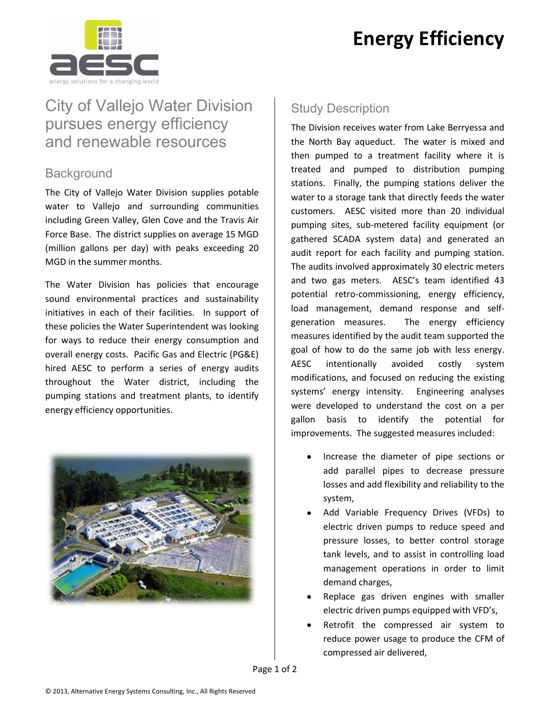# **Energy Efficiency**



## City of Vallejo Water Division pursues energy efficiency and renewable resources

#### **Background**

The City of Vallejo Water Division supplies potable water to Vallejo and surrounding communities including Green Valley, Glen Cove and the Travis Air Force Base. The district supplies on average 15 MGD (million gallons per day) with peaks exceeding 20 MGD in the summer months.

The Water Division has policies that encourage sound environmental practices and sustainability initiatives in each of their facilities. In support of these policies the Water Superintendent was looking for ways to reduce their energy consumption and overall energy costs. Pacific Gas and Electric (PG&E) hired AESC to perform a series of energy audits throughout the Water district, including the pumping stations and treatment plants, to identify energy efficiency opportunities.



### Study Description

The Division receives water from Lake Berryessa and the North Bay aqueduct. The water is mixed and then pumped to a treatment facility where it is treated and pumped to distribution pumping stations. Finally, the pumping stations deliver the water to a storage tank that directly feeds the water customers. AESC visited more than 20 individual pumping sites, sub-metered facility equipment (or gathered SCADA system data) and generated an audit report for each facility and pumping station. The audits involved approximately 30 electric meters and two gas meters. AESC's team identified 43 potential retro-commissioning, energy efficiency, load management, demand response and selfgeneration measures. The energy efficiency measures identified by the audit team supported the goal of how to do the same job with less energy. AESC intentionally avoided costly system modifications, and focused on reducing the existing systems' energy intensity. Engineering analyses were developed to understand the cost on a per gallon basis to identify the potential for improvements. The suggested measures included:

- Increase the diameter of pipe sections or add parallel pipes to decrease pressure losses and add flexibility and reliability to the system,
- Add Variable Frequency Drives (VFDs) to electric driven pumps to reduce speed and pressure losses, to better control storage tank levels, and to assist in controlling load management operations in order to limit demand charges,
- Replace gas driven engines with smaller electric driven pumps equipped with VFD's,
- Retrofit the compressed air system to reduce power usage to produce the CFM of compressed air delivered,

Page 1 of 2